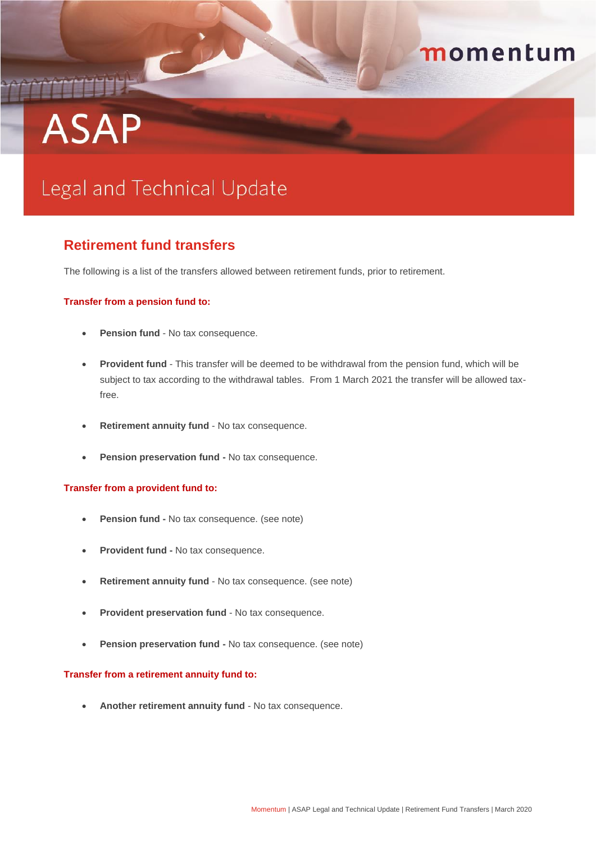# **ASAP**

## momentum

## Legal and Technical Update

### **Retirement fund transfers**

The following is a list of the transfers allowed between retirement funds, prior to retirement.

#### **Transfer from a pension fund to:**

- **Pension fund** No tax consequence.
- **Provident fund**  This transfer will be deemed to be withdrawal from the pension fund, which will be subject to tax according to the withdrawal tables. From 1 March 2021 the transfer will be allowed taxfree.
- **Retirement annuity fund** No tax consequence.
- **Pension preservation fund No tax consequence.**

#### **Transfer from a provident fund to:**

- **Pension fund -** No tax consequence. (see note)
- **Provident fund -** No tax consequence.
- **Retirement annuity fund** No tax consequence. (see note)
- **Provident preservation fund** No tax consequence.
- **Pension preservation fund -** No tax consequence. (see note)

#### **Transfer from a retirement annuity fund to:**

**Another retirement annuity fund** - No tax consequence.